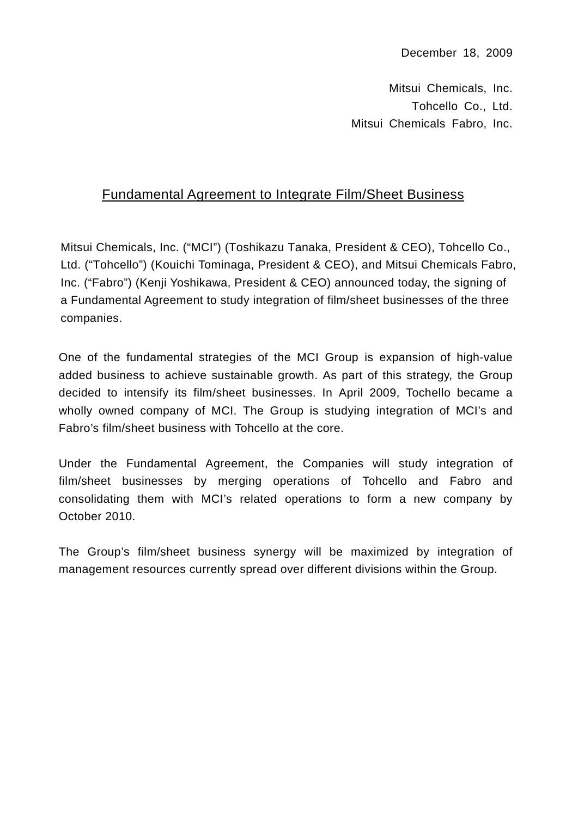Mitsui Chemicals, Inc. Tohcello Co., Ltd. Mitsui Chemicals Fabro, Inc.

## Fundamental Agreement to Integrate Film/Sheet Business

Mitsui Chemicals, Inc. ("MCI") (Toshikazu Tanaka, President & CEO), Tohcello Co., Ltd. ("Tohcello") (Kouichi Tominaga, President & CEO), and Mitsui Chemicals Fabro, Inc. ("Fabro") (Kenji Yoshikawa, President & CEO) announced today, the signing of a Fundamental Agreement to study integration of film/sheet businesses of the three companies.

One of the fundamental strategies of the MCI Group is expansion of high-value added business to achieve sustainable growth. As part of this strategy, the Group decided to intensify its film/sheet businesses. In April 2009, Tochello became a wholly owned company of MCI. The Group is studying integration of MCI's and Fabro's film/sheet business with Tohcello at the core.

Under the Fundamental Agreement, the Companies will study integration of film/sheet businesses by merging operations of Tohcello and Fabro and consolidating them with MCI's related operations to form a new company by October 2010.

The Group's film/sheet business synergy will be maximized by integration of management resources currently spread over different divisions within the Group.